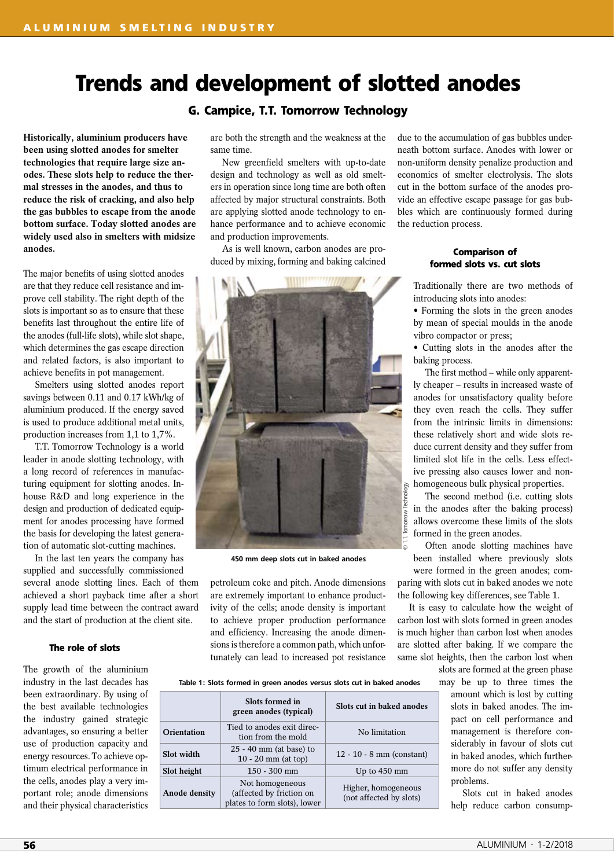# **Trends and development of slotted anodes**

**G. Campice, T.T. Tomorrow Technology**

**Historically, aluminium producers have been using slotted anodes for smelter technologies that require large size anodes. These slots help to reduce the thermal stresses in the anodes, and thus to reduce the risk of cracking, and also help the gas bubbles to escape from the anode bottom surface. Today slotted anodes are widely used also in smelters with midsize anodes.**

The major benefits of using slotted anodes are that they reduce cell resistance and improve cell stability. The right depth of the slots is important so as to ensure that these benefits last throughout the entire life of the anodes (full-life slots), while slot shape, which determines the gas escape direction and related factors, is also important to achieve benefits in pot management.

Smelters using slotted anodes report savings between 0.11 and 0.17 kWh/kg of aluminium produced. If the energy saved is used to produce additional metal units, production increases from 1,1 to 1,7%.

T.T. Tomorrow Technology is a world leader in anode slotting technology, with a long record of references in manufacturing equipment for slotting anodes. Inhouse R&D and long experience in the design and production of dedicated equipment for anodes processing have formed the basis for developing the latest generation of automatic slot-cutting machines.

In the last ten years the company has supplied and successfully commissioned several anode slotting lines. Each of them achieved a short payback time after a short supply lead time between the contract award and the start of production at the client site.

## **The role of slots**

The growth of the aluminium industry in the last decades has been extraordinary. By using of the best available technologies the industry gained strategic advantages, so ensuring a better use of production capacity and energy resources. To achieve optimum electrical performance in the cells, anodes play a very important role; anode dimensions and their physical characteristics

are both the strength and the weakness at the same time.

New greenfield smelters with up-to-date design and technology as well as old smelters in operation since long time are both often affected by major structural constraints. Both are applying slotted anode technology to enhance performance and to achieve economic and production improvements.

As is well known, carbon anodes are produced by mixing, forming and baking calcined



450 mm deep slots cut in baked anodes

petroleum coke and pitch. Anode dimensions are extremely important to enhance productivity of the cells; anode density is important to achieve proper production performance and efficiency. Increasing the anode dimensions is therefore a common path, which unfortunately can lead to increased pot resistance due to the accumulation of gas bubbles underneath bottom surface. Anodes with lower or non-uniform density penalize production and economics of smelter electrolysis. The slots cut in the bottom surface of the anodes provide an effective escape passage for gas bubbles which are continuously formed during the reduction process.

# **Comparison of formed slots vs. cut slots**

Traditionally there are two methods of introducing slots into anodes:

• Forming the slots in the green anodes by mean of special moulds in the anode vibro compactor or press;

• Cutting slots in the anodes after the baking process.

The first method – while only apparently cheaper – results in increased waste of anodes for unsatisfactory quality before they even reach the cells. They suffer from the intrinsic limits in dimensions: these relatively short and wide slots reduce current density and they suffer from limited slot life in the cells. Less effective pressing also causes lower and nonhomogeneous bulk physical properties.

The second method (i.e. cutting slots in the anodes after the baking process) allows overcome these limits of the slots formed in the green anodes.

Often anode slotting machines have been installed where previously slots were formed in the green anodes; comparing with slots cut in baked anodes we note the following key differences, see Table 1.

It is easy to calculate how the weight of carbon lost with slots formed in green anodes is much higher than carbon lost when anodes are slotted after baking. If we compare the same slot heights, then the carbon lost when

slots are formed at the green phase

may be up to three times the amount which is lost by cutting slots in baked anodes. The impact on cell performance and management is therefore considerably in favour of slots cut in baked anodes, which furthermore do not suffer any density problems.

Slots cut in baked anodes help reduce carbon consump-

#### Table 1: Slots formed in green anodes versus slots cut in baked anodes

|               | Slots formed in<br>green anodes (typical)                                   | Slots cut in baked anodes                      |
|---------------|-----------------------------------------------------------------------------|------------------------------------------------|
| Orientation   | Tied to anodes exit direc-<br>tion from the mold                            | No limitation                                  |
| Slot width    | $25 - 40$ mm (at base) to<br>$10 - 20$ mm (at top)                          | $12 - 10 - 8$ mm (constant)                    |
| Slot height   | $150 - 300$ mm                                                              | Up to $450$ mm                                 |
| Anode density | Not homogeneous<br>(affected by friction on<br>plates to form slots), lower | Higher, homogeneous<br>(not affected by slots) |
|               |                                                                             |                                                |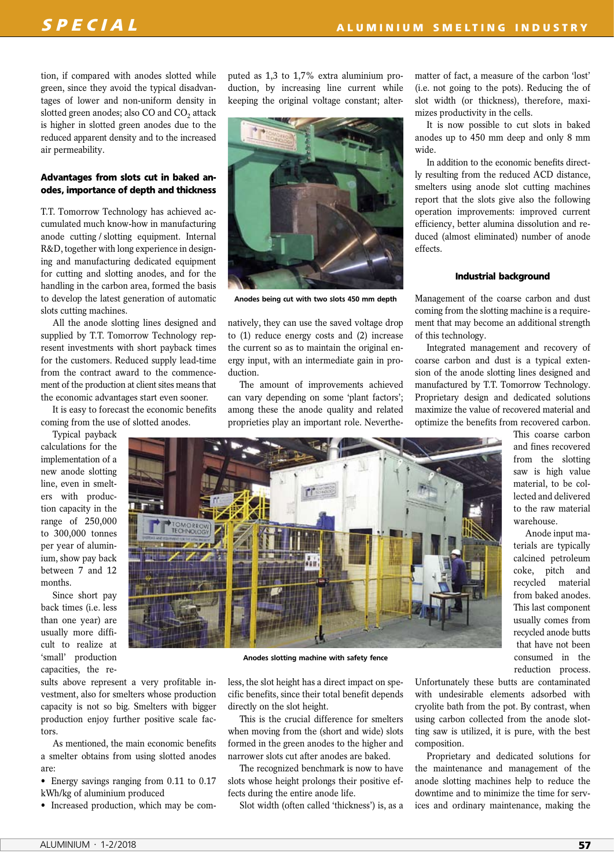tion, if compared with anodes slotted while green, since they avoid the typical disadvantages of lower and non-uniform density in slotted green anodes; also CO and CO<sub>2</sub> attack is higher in slotted green anodes due to the reduced apparent density and to the increased air permeability.

# **Advantages from slots cut in baked anodes, importance of depth and thickness**

T.T. Tomorrow Technology has achieved accumulated much know-how in manufacturing anode cutting / slotting equipment. Internal R&D, together with long experience in designing and manufacturing dedicated equipment for cutting and slotting anodes, and for the handling in the carbon area, formed the basis to develop the latest generation of automatic slots cutting machines.

All the anode slotting lines designed and supplied by T.T. Tomorrow Technology represent investments with short payback times for the customers. Reduced supply lead-time from the contract award to the commencement of the production at client sites means that the economic advantages start even sooner.

It is easy to forecast the economic benefits coming from the use of slotted anodes.

Typical payback calculations for the implementation of a new anode slotting line, even in smelters with production capacity in the range of 250,000 to 300,000 tonnes per year of aluminium, show pay back between 7 and 12 months.

Since short pay back times (i.e. less than one year) are usually more difficult to realize at 'small' production capacities, the reputed as 1,3 to 1,7% extra aluminium production, by increasing line current while keeping the original voltage constant; alter-



Anodes being cut with two slots 450 mm depth

natively, they can use the saved voltage drop to (1) reduce energy costs and (2) increase the current so as to maintain the original energy input, with an intermediate gain in production.

The amount of improvements achieved can vary depending on some 'plant factors'; among these the anode quality and related proprieties play an important role. Neverthematter of fact, a measure of the carbon 'lost' (i.e. not going to the pots). Reducing the of slot width (or thickness), therefore, maximizes productivity in the cells.

It is now possible to cut slots in baked anodes up to 450 mm deep and only 8 mm wide.

In addition to the economic benefits directly resulting from the reduced ACD distance, smelters using anode slot cutting machines report that the slots give also the following operation improvements: improved current efficiency, better alumina dissolution and reduced (almost eliminated) number of anode effects.

## **Industrial background**

Management of the coarse carbon and dust coming from the slotting machine is a requirement that may become an additional strength of this technology.

Integrated management and recovery of coarse carbon and dust is a typical extension of the anode slotting lines designed and manufactured by T.T. Tomorrow Technology. Proprietary design and dedicated solutions maximize the value of recovered material and optimize the benefits from recovered carbon.



Anode input materials are typically calcined petroleum coke, pitch and recycled material from baked anodes. This last component usually comes from recycled anode butts that have not been consumed in the reduction process.

sults above represent a very profitable investment, also for smelters whose production capacity is not so big. Smelters with bigger production enjoy further positive scale factors.

As mentioned, the main economic benefits a smelter obtains from using slotted anodes are:

- Energy savings ranging from 0.11 to 0.17 kWh/kg of aluminium produced
- Increased production, which may be com-

less, the slot height has a direct impact on specific benefits, since their total benefit depends directly on the slot height.

Anodes slotting machine with safety fence

This is the crucial difference for smelters when moving from the (short and wide) slots formed in the green anodes to the higher and narrower slots cut after anodes are baked.

The recognized benchmark is now to have slots whose height prolongs their positive effects during the entire anode life.

Slot width (often called 'thickness') is, as a

Unfortunately these butts are contaminated with undesirable elements adsorbed with cryolite bath from the pot. By contrast, when using carbon collected from the anode slotting saw is utilized, it is pure, with the best composition.

Proprietary and dedicated solutions for the maintenance and management of the anode slotting machines help to reduce the downtime and to minimize the time for services and ordinary maintenance, making the